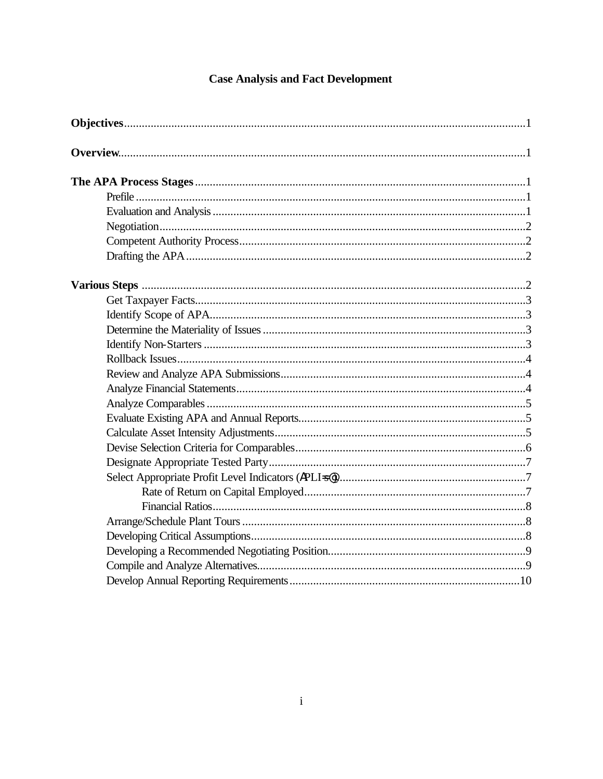# **Case Analysis and Fact Development**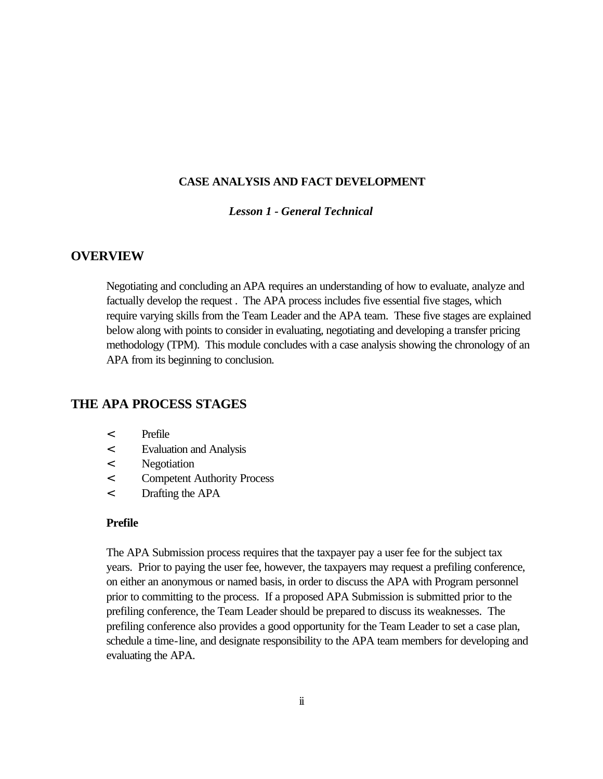# **CASE ANALYSIS AND FACT DEVELOPMENT**

# *Lesson 1 - General Technical*

# **OVERVIEW**

Negotiating and concluding an APA requires an understanding of how to evaluate, analyze and factually develop the request . The APA process includes five essential five stages, which require varying skills from the Team Leader and the APA team. These five stages are explained below along with points to consider in evaluating, negotiating and developing a transfer pricing methodology (TPM). This module concludes with a case analysis showing the chronology of an APA from its beginning to conclusion.

# **THE APA PROCESS STAGES**

- < Prefile
- < Evaluation and Analysis
- < Negotiation
- < Competent Authority Process
- < Drafting the APA

## **Prefile**

The APA Submission process requires that the taxpayer pay a user fee for the subject tax years. Prior to paying the user fee, however, the taxpayers may request a prefiling conference, on either an anonymous or named basis, in order to discuss the APA with Program personnel prior to committing to the process. If a proposed APA Submission is submitted prior to the prefiling conference, the Team Leader should be prepared to discuss its weaknesses. The prefiling conference also provides a good opportunity for the Team Leader to set a case plan, schedule a time-line, and designate responsibility to the APA team members for developing and evaluating the APA.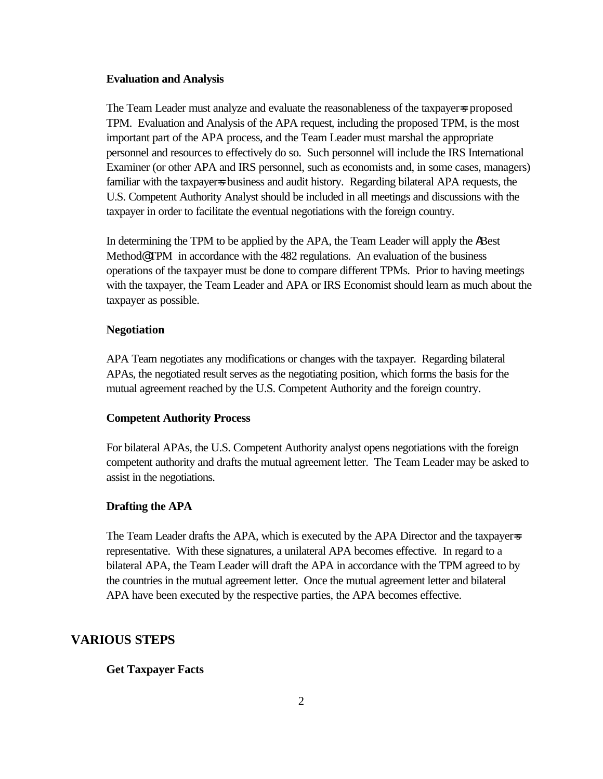#### **Evaluation and Analysis**

The Team Leader must analyze and evaluate the reasonableness of the taxpayer=s proposed TPM. Evaluation and Analysis of the APA request, including the proposed TPM, is the most important part of the APA process, and the Team Leader must marshal the appropriate personnel and resources to effectively do so. Such personnel will include the IRS International Examiner (or other APA and IRS personnel, such as economists and, in some cases, managers) familiar with the taxpayer=s business and audit history. Regarding bilateral APA requests, the U.S. Competent Authority Analyst should be included in all meetings and discussions with the taxpayer in order to facilitate the eventual negotiations with the foreign country.

In determining the TPM to be applied by the APA, the Team Leader will apply the ABest Method@ TPM in accordance with the 482 regulations. An evaluation of the business operations of the taxpayer must be done to compare different TPMs. Prior to having meetings with the taxpayer, the Team Leader and APA or IRS Economist should learn as much about the taxpayer as possible.

## **Negotiation**

APA Team negotiates any modifications or changes with the taxpayer. Regarding bilateral APAs, the negotiated result serves as the negotiating position, which forms the basis for the mutual agreement reached by the U.S. Competent Authority and the foreign country.

### **Competent Authority Process**

For bilateral APAs, the U.S. Competent Authority analyst opens negotiations with the foreign competent authority and drafts the mutual agreement letter. The Team Leader may be asked to assist in the negotiations.

#### **Drafting the APA**

The Team Leader drafts the APA, which is executed by the APA Director and the taxpayers representative. With these signatures, a unilateral APA becomes effective. In regard to a bilateral APA, the Team Leader will draft the APA in accordance with the TPM agreed to by the countries in the mutual agreement letter. Once the mutual agreement letter and bilateral APA have been executed by the respective parties, the APA becomes effective.

# **VARIOUS STEPS**

#### **Get Taxpayer Facts**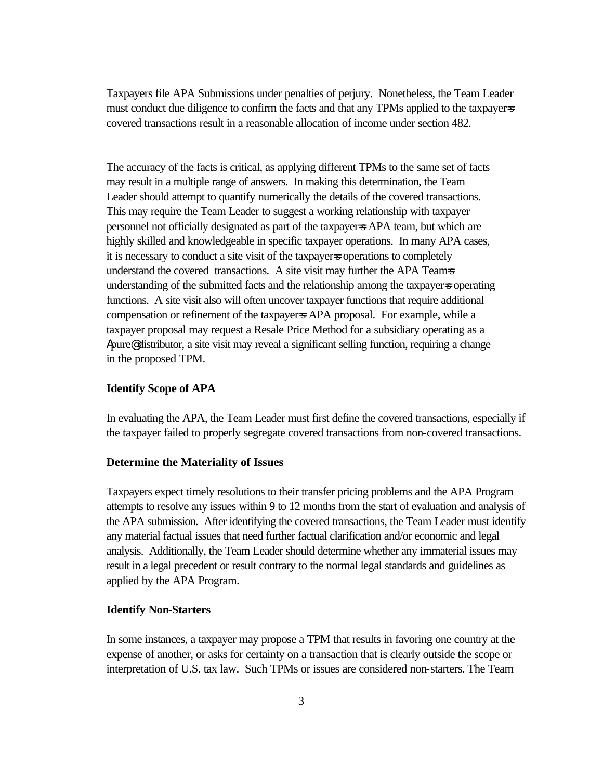Taxpayers file APA Submissions under penalties of perjury. Nonetheless, the Team Leader must conduct due diligence to confirm the facts and that any TPMs applied to the taxpayer=s covered transactions result in a reasonable allocation of income under section 482.

The accuracy of the facts is critical, as applying different TPMs to the same set of facts may result in a multiple range of answers. In making this determination, the Team Leader should attempt to quantify numerically the details of the covered transactions. This may require the Team Leader to suggest a working relationship with taxpayer personnel not officially designated as part of the taxpayer=s APA team, but which are highly skilled and knowledgeable in specific taxpayer operations. In many APA cases, it is necessary to conduct a site visit of the taxpayer=s operations to completely understand the covered transactions. A site visit may further the APA Teams understanding of the submitted facts and the relationship among the taxpayer=s operating functions. A site visit also will often uncover taxpayer functions that require additional compensation or refinement of the taxpayer=s APA proposal. For example, while a taxpayer proposal may request a Resale Price Method for a subsidiary operating as a Apure@ distributor, a site visit may reveal a significant selling function, requiring a change in the proposed TPM.

# **Identify Scope of APA**

In evaluating the APA, the Team Leader must first define the covered transactions, especially if the taxpayer failed to properly segregate covered transactions from non-covered transactions.

## **Determine the Materiality of Issues**

Taxpayers expect timely resolutions to their transfer pricing problems and the APA Program attempts to resolve any issues within 9 to 12 months from the start of evaluation and analysis of the APA submission. After identifying the covered transactions, the Team Leader must identify any material factual issues that need further factual clarification and/or economic and legal analysis. Additionally, the Team Leader should determine whether any immaterial issues may result in a legal precedent or result contrary to the normal legal standards and guidelines as applied by the APA Program.

#### **Identify Non-Starters**

In some instances, a taxpayer may propose a TPM that results in favoring one country at the expense of another, or asks for certainty on a transaction that is clearly outside the scope or interpretation of U.S. tax law. Such TPMs or issues are considered non-starters. The Team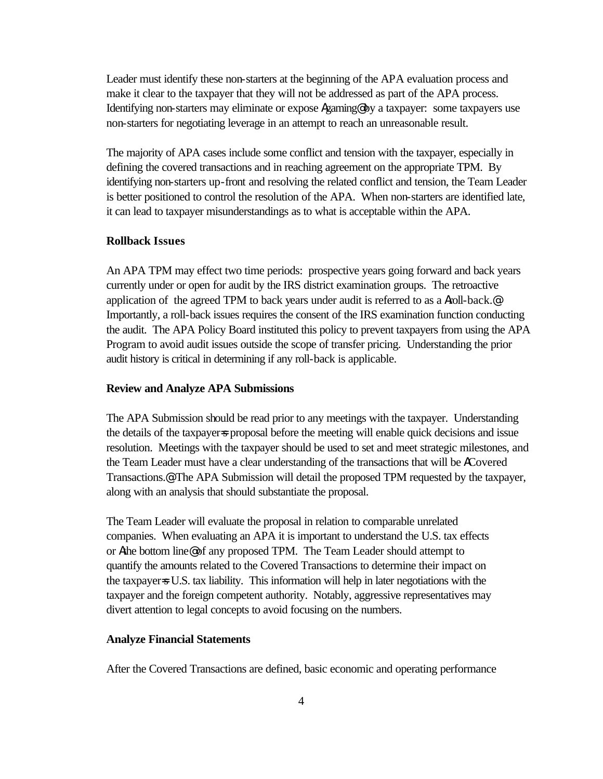Leader must identify these non-starters at the beginning of the APA evaluation process and make it clear to the taxpayer that they will not be addressed as part of the APA process. Identifying non-starters may eliminate or expose Agaming@ by a taxpayer: some taxpayers use non-starters for negotiating leverage in an attempt to reach an unreasonable result.

The majority of APA cases include some conflict and tension with the taxpayer, especially in defining the covered transactions and in reaching agreement on the appropriate TPM. By identifying non-starters up-front and resolving the related conflict and tension, the Team Leader is better positioned to control the resolution of the APA. When non-starters are identified late, it can lead to taxpayer misunderstandings as to what is acceptable within the APA.

#### **Rollback Issues**

An APA TPM may effect two time periods: prospective years going forward and back years currently under or open for audit by the IRS district examination groups. The retroactive application of the agreed TPM to back years under audit is referred to as a Aroll-back.@ Importantly, a roll-back issues requires the consent of the IRS examination function conducting the audit. The APA Policy Board instituted this policy to prevent taxpayers from using the APA Program to avoid audit issues outside the scope of transfer pricing. Understanding the prior audit history is critical in determining if any roll-back is applicable.

#### **Review and Analyze APA Submissions**

The APA Submission should be read prior to any meetings with the taxpayer. Understanding the details of the taxpayer=s proposal before the meeting will enable quick decisions and issue resolution. Meetings with the taxpayer should be used to set and meet strategic milestones, and the Team Leader must have a clear understanding of the transactions that will be ACovered Transactions.@ The APA Submission will detail the proposed TPM requested by the taxpayer, along with an analysis that should substantiate the proposal.

The Team Leader will evaluate the proposal in relation to comparable unrelated companies. When evaluating an APA it is important to understand the U.S. tax effects or Athe bottom line@ of any proposed TPM. The Team Leader should attempt to quantify the amounts related to the Covered Transactions to determine their impact on the taxpayer=s U.S. tax liability. This information will help in later negotiations with the taxpayer and the foreign competent authority. Notably, aggressive representatives may divert attention to legal concepts to avoid focusing on the numbers.

## **Analyze Financial Statements**

After the Covered Transactions are defined, basic economic and operating performance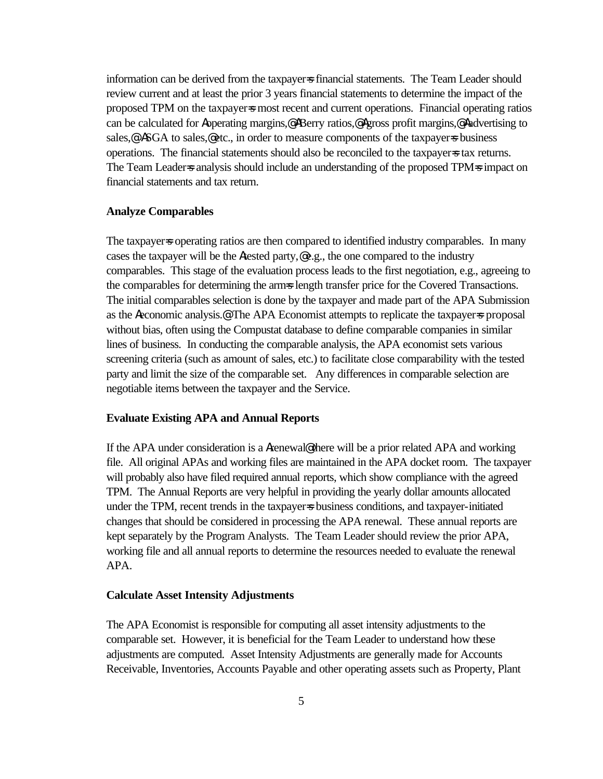information can be derived from the taxpayer=s financial statements. The Team Leader should review current and at least the prior 3 years financial statements to determine the impact of the proposed TPM on the taxpayer=s most recent and current operations. Financial operating ratios can be calculated for Aoperating margins,@ ABerry ratios,@ Agross profit margins,@ Aadvertising to sales,<sup>@</sup> ASGA to sales,@etc., in order to measure components of the taxpayer=s business operations. The financial statements should also be reconciled to the taxpayer=s tax returns. The Team Leader=s analysis should include an understanding of the proposed TPM=s impact on financial statements and tax return.

## **Analyze Comparables**

The taxpayer=s operating ratios are then compared to identified industry comparables. In many cases the taxpayer will be the Atested party,@ e.g., the one compared to the industry comparables. This stage of the evaluation process leads to the first negotiation, e.g., agreeing to the comparables for determining the arms length transfer price for the Covered Transactions. The initial comparables selection is done by the taxpayer and made part of the APA Submission as the Aeconomic analysis.@ The APA Economist attempts to replicate the taxpayer=s proposal without bias, often using the Compustat database to define comparable companies in similar lines of business. In conducting the comparable analysis, the APA economist sets various screening criteria (such as amount of sales, etc.) to facilitate close comparability with the tested party and limit the size of the comparable set. Any differences in comparable selection are negotiable items between the taxpayer and the Service.

#### **Evaluate Existing APA and Annual Reports**

If the APA under consideration is a Arenewal@ there will be a prior related APA and working file. All original APAs and working files are maintained in the APA docket room. The taxpayer will probably also have filed required annual reports, which show compliance with the agreed TPM. The Annual Reports are very helpful in providing the yearly dollar amounts allocated under the TPM, recent trends in the taxpayer=s business conditions, and taxpayer-initiated changes that should be considered in processing the APA renewal. These annual reports are kept separately by the Program Analysts. The Team Leader should review the prior APA, working file and all annual reports to determine the resources needed to evaluate the renewal APA.

#### **Calculate Asset Intensity Adjustments**

The APA Economist is responsible for computing all asset intensity adjustments to the comparable set. However, it is beneficial for the Team Leader to understand how these adjustments are computed. Asset Intensity Adjustments are generally made for Accounts Receivable, Inventories, Accounts Payable and other operating assets such as Property, Plant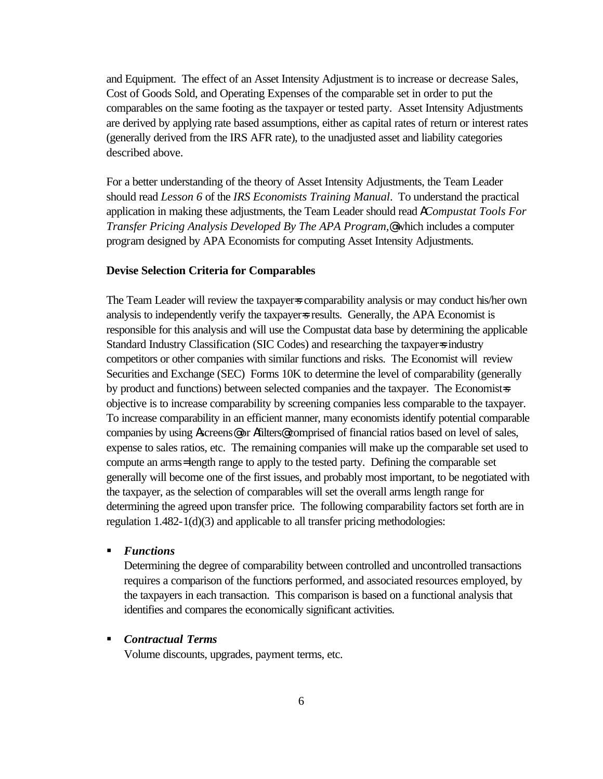and Equipment. The effect of an Asset Intensity Adjustment is to increase or decrease Sales, Cost of Goods Sold, and Operating Expenses of the comparable set in order to put the comparables on the same footing as the taxpayer or tested party. Asset Intensity Adjustments are derived by applying rate based assumptions, either as capital rates of return or interest rates (generally derived from the IRS AFR rate), to the unadjusted asset and liability categories described above.

For a better understanding of the theory of Asset Intensity Adjustments, the Team Leader should read *Lesson 6* of the *IRS Economists Training Manual*. To understand the practical application in making these adjustments, the Team Leader should read A*Compustat Tools For Transfer Pricing Analysis Developed By The APA Program,*@ which includes a computer program designed by APA Economists for computing Asset Intensity Adjustments.

## **Devise Selection Criteria for Comparables**

The Team Leader will review the taxpayer=s comparability analysis or may conduct his/her own analysis to independently verify the taxpayer=s results. Generally, the APA Economist is responsible for this analysis and will use the Compustat data base by determining the applicable Standard Industry Classification (SIC Codes) and researching the taxpayer=s industry competitors or other companies with similar functions and risks. The Economist will review Securities and Exchange (SEC) Forms 10K to determine the level of comparability (generally by product and functions) between selected companies and the taxpayer. The Economist=s objective is to increase comparability by screening companies less comparable to the taxpayer. To increase comparability in an efficient manner, many economists identify potential comparable companies by using Ascreens@ or Afilters@ comprised of financial ratios based on level of sales, expense to sales ratios, etc. The remaining companies will make up the comparable set used to compute an arms= length range to apply to the tested party. Defining the comparable set generally will become one of the first issues, and probably most important, to be negotiated with the taxpayer, as the selection of comparables will set the overall arms length range for determining the agreed upon transfer price. The following comparability factors set forth are in regulation 1.482-1(d)(3) and applicable to all transfer pricing methodologies:

ß *Functions*

Determining the degree of comparability between controlled and uncontrolled transactions requires a comparison of the functions performed, and associated resources employed, by the taxpayers in each transaction. This comparison is based on a functional analysis that identifies and compares the economically significant activities.

# ß *Contractual Terms*

Volume discounts, upgrades, payment terms, etc.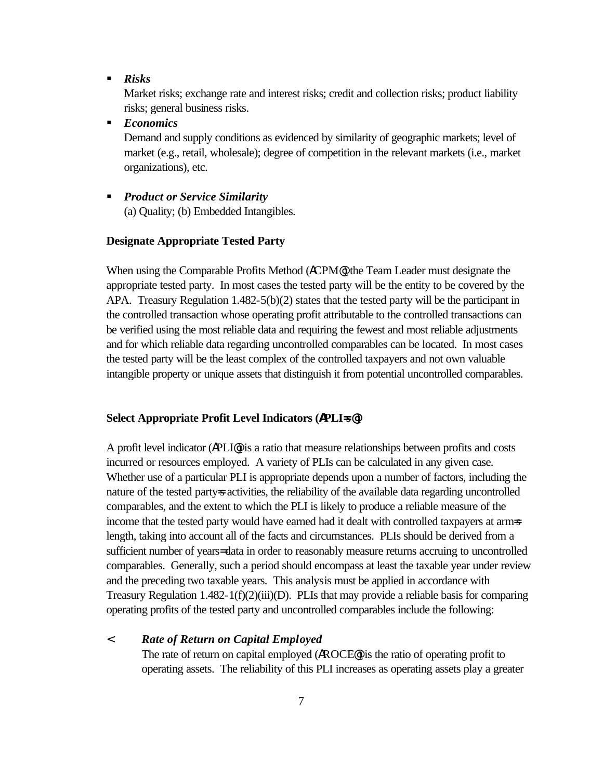ß *Risks*

Market risks; exchange rate and interest risks; credit and collection risks; product liability risks; general business risks.

ß *Economics*

Demand and supply conditions as evidenced by similarity of geographic markets; level of market (e.g., retail, wholesale); degree of competition in the relevant markets (i.e., market organizations), etc.

ß *Product or Service Similarity* (a) Quality; (b) Embedded Intangibles.

## **Designate Appropriate Tested Party**

When using the Comparable Profits Method (ACPM<sup>®</sup>) the Team Leader must designate the appropriate tested party. In most cases the tested party will be the entity to be covered by the APA. Treasury Regulation  $1.482-5(b)(2)$  states that the tested party will be the participant in the controlled transaction whose operating profit attributable to the controlled transactions can be verified using the most reliable data and requiring the fewest and most reliable adjustments and for which reliable data regarding uncontrolled comparables can be located. In most cases the tested party will be the least complex of the controlled taxpayers and not own valuable intangible property or unique assets that distinguish it from potential uncontrolled comparables.

#### **Select Appropriate Profit Level Indicators (APLI=s@)**

A profit level indicator (APLI@) is a ratio that measure relationships between profits and costs incurred or resources employed. A variety of PLIs can be calculated in any given case. Whether use of a particular PLI is appropriate depends upon a number of factors, including the nature of the tested party=s activities, the reliability of the available data regarding uncontrolled comparables, and the extent to which the PLI is likely to produce a reliable measure of the income that the tested party would have earned had it dealt with controlled taxpayers at arms length, taking into account all of the facts and circumstances. PLIs should be derived from a sufficient number of years= data in order to reasonably measure returns accruing to uncontrolled comparables. Generally, such a period should encompass at least the taxable year under review and the preceding two taxable years. This analysis must be applied in accordance with Treasury Regulation 1.482-1(f)(2)(iii)(D). PLIs that may provide a reliable basis for comparing operating profits of the tested party and uncontrolled comparables include the following:

## < *Rate of Return on Capital Employed*

The rate of return on capital employed (AROCE@) is the ratio of operating profit to operating assets. The reliability of this PLI increases as operating assets play a greater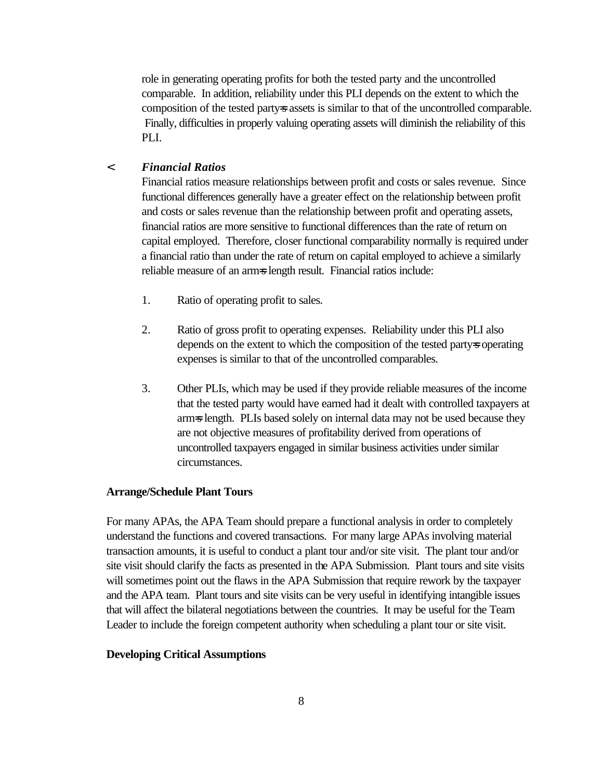role in generating operating profits for both the tested party and the uncontrolled comparable. In addition, reliability under this PLI depends on the extent to which the composition of the tested party-s assets is similar to that of the uncontrolled comparable. Finally, difficulties in properly valuing operating assets will diminish the reliability of this PLI.

# < *Financial Ratios*

Financial ratios measure relationships between profit and costs or sales revenue. Since functional differences generally have a greater effect on the relationship between profit and costs or sales revenue than the relationship between profit and operating assets, financial ratios are more sensitive to functional differences than the rate of return on capital employed. Therefore, closer functional comparability normally is required under a financial ratio than under the rate of return on capital employed to achieve a similarly reliable measure of an arm=s length result. Financial ratios include:

- 1. Ratio of operating profit to sales.
- 2. Ratio of gross profit to operating expenses. Reliability under this PLI also depends on the extent to which the composition of the tested party-s operating expenses is similar to that of the uncontrolled comparables.
- 3. Other PLIs, which may be used if they provide reliable measures of the income that the tested party would have earned had it dealt with controlled taxpayers at arm=s length. PLIs based solely on internal data may not be used because they are not objective measures of profitability derived from operations of uncontrolled taxpayers engaged in similar business activities under similar circumstances.

## **Arrange/Schedule Plant Tours**

For many APAs, the APA Team should prepare a functional analysis in order to completely understand the functions and covered transactions. For many large APAs involving material transaction amounts, it is useful to conduct a plant tour and/or site visit. The plant tour and/or site visit should clarify the facts as presented in the APA Submission. Plant tours and site visits will sometimes point out the flaws in the APA Submission that require rework by the taxpayer and the APA team. Plant tours and site visits can be very useful in identifying intangible issues that will affect the bilateral negotiations between the countries. It may be useful for the Team Leader to include the foreign competent authority when scheduling a plant tour or site visit.

### **Developing Critical Assumptions**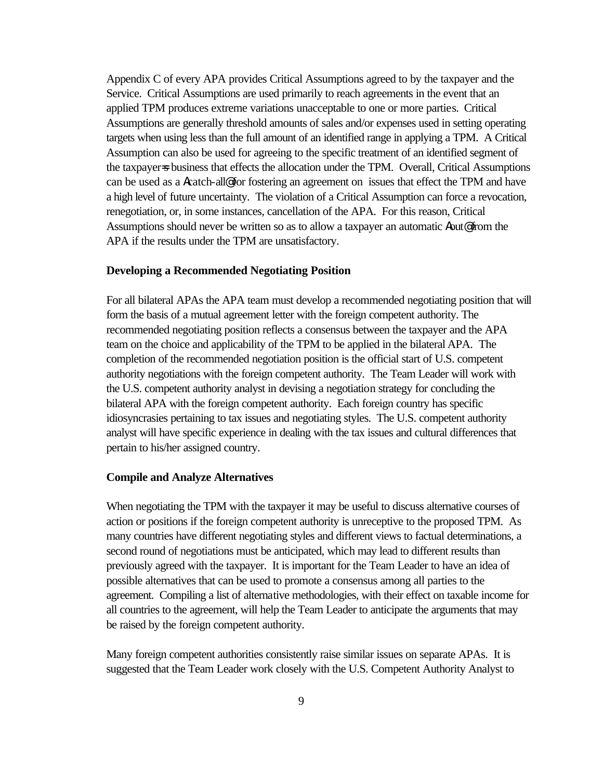Appendix C of every APA provides Critical Assumptions agreed to by the taxpayer and the Service. Critical Assumptions are used primarily to reach agreements in the event that an applied TPM produces extreme variations unacceptable to one or more parties. Critical Assumptions are generally threshold amounts of sales and/or expenses used in setting operating targets when using less than the full amount of an identified range in applying a TPM. A Critical Assumption can also be used for agreeing to the specific treatment of an identified segment of the taxpayer=s business that effects the allocation under the TPM. Overall, Critical Assumptions can be used as a Acatch-all@ for fostering an agreement on issues that effect the TPM and have a high level of future uncertainty. The violation of a Critical Assumption can force a revocation, renegotiation, or, in some instances, cancellation of the APA. For this reason, Critical Assumptions should never be written so as to allow a taxpayer an automatic Aout@ from the APA if the results under the TPM are unsatisfactory.

## **Developing a Recommended Negotiating Position**

For all bilateral APAs the APA team must develop a recommended negotiating position that will form the basis of a mutual agreement letter with the foreign competent authority. The recommended negotiating position reflects a consensus between the taxpayer and the APA team on the choice and applicability of the TPM to be applied in the bilateral APA. The completion of the recommended negotiation position is the official start of U.S. competent authority negotiations with the foreign competent authority. The Team Leader will work with the U.S. competent authority analyst in devising a negotiation strategy for concluding the bilateral APA with the foreign competent authority. Each foreign country has specific idiosyncrasies pertaining to tax issues and negotiating styles. The U.S. competent authority analyst will have specific experience in dealing with the tax issues and cultural differences that pertain to his/her assigned country.

#### **Compile and Analyze Alternatives**

When negotiating the TPM with the taxpayer it may be useful to discuss alternative courses of action or positions if the foreign competent authority is unreceptive to the proposed TPM. As many countries have different negotiating styles and different views to factual determinations, a second round of negotiations must be anticipated, which may lead to different results than previously agreed with the taxpayer. It is important for the Team Leader to have an idea of possible alternatives that can be used to promote a consensus among all parties to the agreement. Compiling a list of alternative methodologies, with their effect on taxable income for all countries to the agreement, will help the Team Leader to anticipate the arguments that may be raised by the foreign competent authority.

Many foreign competent authorities consistently raise similar issues on separate APAs. It is suggested that the Team Leader work closely with the U.S. Competent Authority Analyst to